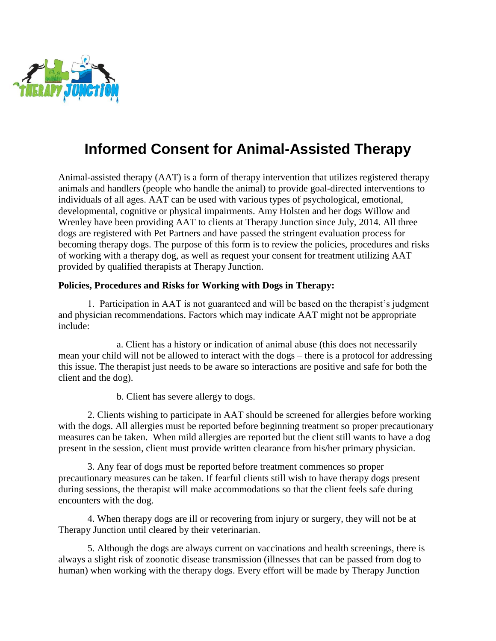

## **Informed Consent for Animal-Assisted Therapy**

Animal-assisted therapy (AAT) is a form of therapy intervention that utilizes registered therapy animals and handlers (people who handle the animal) to provide goal-directed interventions to individuals of all ages. AAT can be used with various types of psychological, emotional, developmental, cognitive or physical impairments. Amy Holsten and her dogs Willow and Wrenley have been providing AAT to clients at Therapy Junction since July, 2014. All three dogs are registered with Pet Partners and have passed the stringent evaluation process for becoming therapy dogs. The purpose of this form is to review the policies, procedures and risks of working with a therapy dog, as well as request your consent for treatment utilizing AAT provided by qualified therapists at Therapy Junction.

## **Policies, Procedures and Risks for Working with Dogs in Therapy:**

1. Participation in AAT is not guaranteed and will be based on the therapist's judgment and physician recommendations. Factors which may indicate AAT might not be appropriate include:

a. Client has a history or indication of animal abuse (this does not necessarily mean your child will not be allowed to interact with the dogs – there is a protocol for addressing this issue. The therapist just needs to be aware so interactions are positive and safe for both the client and the dog).

b. Client has severe allergy to dogs.

2. Clients wishing to participate in AAT should be screened for allergies before working with the dogs. All allergies must be reported before beginning treatment so proper precautionary measures can be taken. When mild allergies are reported but the client still wants to have a dog present in the session, client must provide written clearance from his/her primary physician.

3. Any fear of dogs must be reported before treatment commences so proper precautionary measures can be taken. If fearful clients still wish to have therapy dogs present during sessions, the therapist will make accommodations so that the client feels safe during encounters with the dog.

4. When therapy dogs are ill or recovering from injury or surgery, they will not be at Therapy Junction until cleared by their veterinarian.

5. Although the dogs are always current on vaccinations and health screenings, there is always a slight risk of zoonotic disease transmission (illnesses that can be passed from dog to human) when working with the therapy dogs. Every effort will be made by Therapy Junction